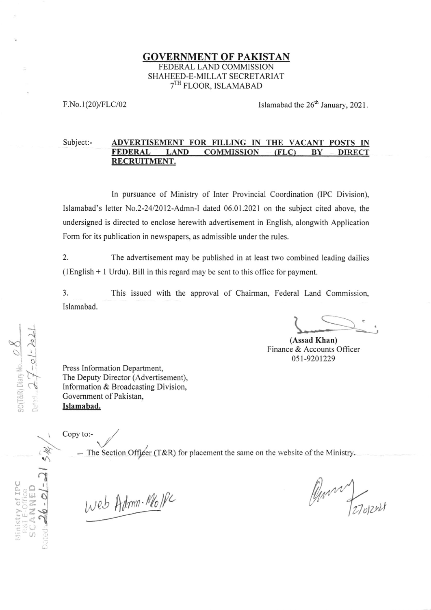# GOVERNMENT OF PAKISTAN FEDERAL LAND COMMISSION SHAHEED-E-MILLAT SECRETARIAT 7TH FLOOR, ISLAMABAD

F.No.1(20)/FLC/02

Islamabad the  $26<sup>th</sup>$  January, 2021.

## Subject:- ADVERTISEMENT FOR FILLING IN THE VACANT POSTS IN FEDERAL LAND COMMISSION (FLC) BY DIRECT RECRUITMENT.

In pursuance of Ministry of Inter Provincial Coordination (IPC Division), Islamabad's letter No.2-24/2012-Admn-l dated 06.01.2021 on the subject cited above, the undersigned is directed to enclose herewith advertisement in English, alongwith Application Form for its publication in newspapers, as admissible under the rules.

2. The advertisement may be published in at least two combined leading dailies (lEnglish + 1 Urdu). Bill in this regard may be sent to this office for payment.

3. This issued with the approval of Chairman, Federal Land Commission, Islamabad.

(Assad Khan) Finance & Accounts Officer 051-9201229

Press Information Department, The Deputy Director (Advertisement), lnformation & Broadcasting Division. Govemment of Pakistan, Islamabad.

Copy to:-

 $-$  The Section Officer (T&R) for placement the same on the website of the Ministry.

Web Admn-Molle

<u>ra</u>  $7-0$  $\omega$ z, e a  $\frac{\alpha}{\alpha}$ o c  $\infty$ 

 $\vec{\Omega}$ 

S M.

 $\frac{1}{2}$  $\frac{9}{25}$ 

RISSERY CAN

 $\tilde{e}$  or  $\tilde{e}$ t:. ,

a